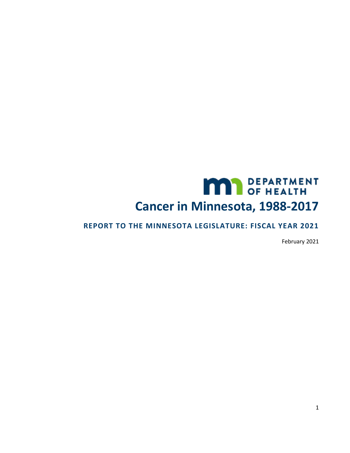# **MAN** DEPARTMENT **Cancer in Minnesota, 1988-2017**

### **REPORT TO THE MINNESOTA LEGISLATURE: FISCAL YEAR 2021**

February 2021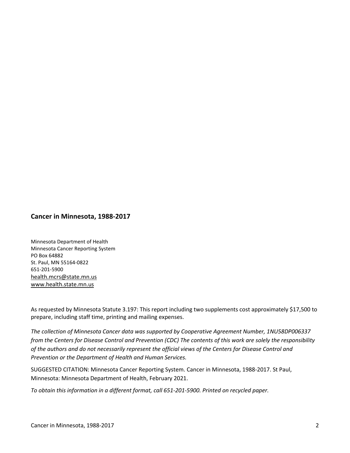#### **Cancer in Minnesota, 1988-2017**

Minnesota Department of Health Minnesota Cancer Reporting System PO Box 64882 St. Paul, MN 55164-0822 651-201-5900 [health.mcrs@state.mn.us](mailto:health.mcrs@state.mn.us) [www.health.state.mn.us](https://www.health.state.mn.us/)

As requested by Minnesota Statute 3.197: This report including two supplements cost approximately \$17,500 to prepare, including staff time, printing and mailing expenses.

*The collection of Minnesota Cancer data was supported by Cooperative Agreement Number, 1NU58DP006337 from the Centers for Disease Control and Prevention (CDC) The contents of this work are solely the responsibility of the authors and do not necessarily represent the official views of the Centers for Disease Control and Prevention or the Department of Health and Human Services.*

SUGGESTED CITATION: Minnesota Cancer Reporting System. Cancer in Minnesota, 1988-2017. St Paul, Minnesota: Minnesota Department of Health, February 2021.

*To obtain this information in a different format, call 651-201-5900. Printed on recycled paper.*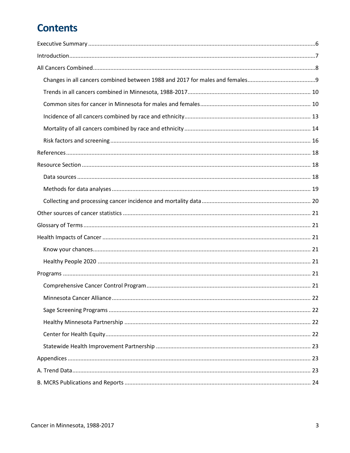# **Contents**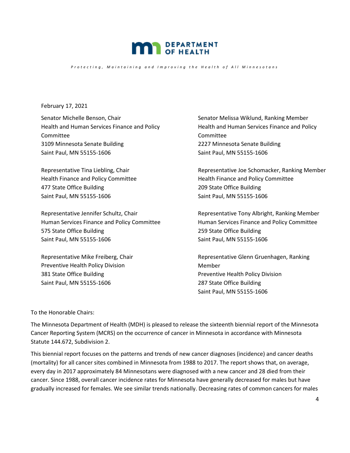

*Protecting, Maintaining and Improving the Health of All Minnesotans* 

February 17, 2021

Senator Michelle Benson, Chair Health and Human Services Finance and Policy Committee 3109 Minnesota Senate Building Saint Paul, MN 55155-1606

Representative Tina Liebling, Chair Health Finance and Policy Committee 477 State Office Building Saint Paul, MN 55155-1606

Representative Jennifer Schultz, Chair Human Services Finance and Policy Committee 575 State Office Building Saint Paul, MN 55155-1606

Representative Mike Freiberg, Chair Preventive Health Policy Division 381 State Office Building Saint Paul, MN 55155-1606

Senator Melissa Wiklund, Ranking Member Health and Human Services Finance and Policy Committee 2227 Minnesota Senate Building Saint Paul, MN 55155-1606

Representative Joe Schomacker, Ranking Member Health Finance and Policy Committee 209 State Office Building Saint Paul, MN 55155-1606

Representative Tony Albright, Ranking Member Human Services Finance and Policy Committee 259 State Office Building Saint Paul, MN 55155-1606

Representative Glenn Gruenhagen, Ranking Member Preventive Health Policy Division 287 State Office Building Saint Paul, MN 55155-1606

To the Honorable Chairs:

The Minnesota Department of Health (MDH) is pleased to release the sixteenth biennial report of the Minnesota Cancer Reporting System (MCRS) on the occurrence of cancer in Minnesota in accordance with Minnesota Statute 144.672, Subdivision 2.

This biennial report focuses on the patterns and trends of new cancer diagnoses (incidence) and cancer deaths (mortality) for all cancer sites combined in Minnesota from 1988 to 2017. The report shows that, on average, every day in 2017 approximately 84 Minnesotans were diagnosed with a new cancer and 28 died from their cancer. Since 1988, overall cancer incidence rates for Minnesota have generally decreased for males but have gradually increased for females. We see similar trends nationally. Decreasing rates of common cancers for males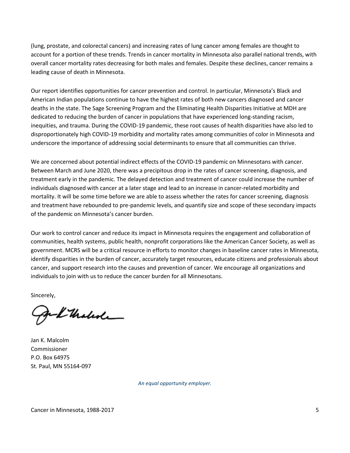(lung, prostate, and colorectal cancers) and increasing rates of lung cancer among females are thought to account for a portion of these trends. Trends in cancer mortality in Minnesota also parallel national trends, with overall cancer mortality rates decreasing for both males and females. Despite these declines, cancer remains a leading cause of death in Minnesota.

Our report identifies opportunities for cancer prevention and control. In particular, Minnesota's Black and American Indian populations continue to have the highest rates of both new cancers diagnosed and cancer deaths in the state. The Sage Screening Program and the Eliminating Health Disparities Initiative at MDH are dedicated to reducing the burden of cancer in populations that have experienced long-standing racism, inequities, and trauma. During the COVID-19 pandemic, these root causes of health disparities have also led to disproportionately high COVID-19 morbidity and mortality rates among communities of color in Minnesota and underscore the importance of addressing social determinants to ensure that all communities can thrive.

We are concerned about potential indirect effects of the COVID-19 pandemic on Minnesotans with cancer. Between March and June 2020, there was a precipitous drop in the rates of cancer screening, diagnosis, and treatment early in the pandemic. The delayed detection and treatment of cancer could increase the number of individuals diagnosed with cancer at a later stage and lead to an increase in cancer-related morbidity and mortality. It will be some time before we are able to assess whether the rates for cancer screening, diagnosis and treatment have rebounded to pre-pandemic levels, and quantify size and scope of these secondary impacts of the pandemic on Minnesota's cancer burden.

Our work to control cancer and reduce its impact in Minnesota requires the engagement and collaboration of communities, health systems, public health, nonprofit corporations like the American Cancer Society, as well as government. MCRS will be a critical resource in efforts to monitor changes in baseline cancer rates in Minnesota, identify disparities in the burden of cancer, accurately target resources, educate citizens and professionals about cancer, and support research into the causes and prevention of cancer. We encourage all organizations and individuals to join with us to reduce the cancer burden for all Minnesotans.

Sincerely,

gel thelede

Jan K. Malcolm Commissioner P.O. Box 64975 St. Paul, MN 55164-097

*An equal opportunity employer.*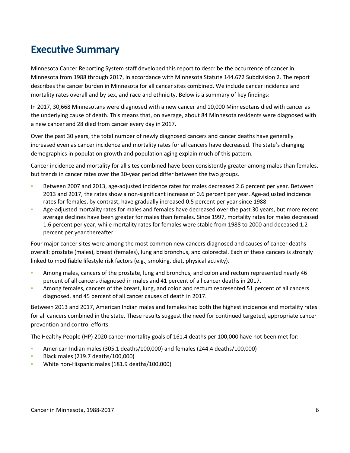# <span id="page-5-0"></span>**Executive Summary**

Minnesota Cancer Reporting System staff developed this report to describe the occurrence of cancer in Minnesota from 1988 through 2017, in accordance with Minnesota Statute 144.672 Subdivision 2. The report describes the cancer burden in Minnesota for all cancer sites combined. We include cancer incidence and mortality rates overall and by sex, and race and ethnicity. Below is a summary of key findings:

In 2017, 30,668 Minnesotans were diagnosed with a new cancer and 10,000 Minnesotans died with cancer as the underlying cause of death. This means that, on average, about 84 Minnesota residents were diagnosed with a new cancer and 28 died from cancer every day in 2017.

Over the past 30 years, the total number of newly diagnosed cancers and cancer deaths have generally increased even as cancer incidence and mortality rates for all cancers have decreased. The state's changing demographics in population growth and population aging explain much of this pattern.

Cancer incidence and mortality for all sites combined have been consistently greater among males than females, but trends in cancer rates over the 30-year period differ between the two groups.

- Between 2007 and 2013, age-adjusted incidence rates for males decreased 2.6 percent per year. Between 2013 and 2017, the rates show a non-significant increase of 0.6 percent per year. Age-adjusted incidence rates for females, by contrast, have gradually increased 0.5 percent per year since 1988.
- Age-adjusted mortality rates for males and females have decreased over the past 30 years, but more recent average declines have been greater for males than females. Since 1997, mortality rates for males decreased 1.6 percent per year, while mortality rates for females were stable from 1988 to 2000 and deceased 1.2 percent per year thereafter.

Four major cancer sites were among the most common new cancers diagnosed and causes of cancer deaths overall: prostate (males), breast (females), lung and bronchus, and colorectal. Each of these cancers is strongly linked to modifiable lifestyle risk factors (e.g., smoking, diet, physical activity).

- Among males, cancers of the prostate, lung and bronchus, and colon and rectum represented nearly 46 percent of all cancers diagnosed in males and 41 percent of all cancer deaths in 2017.
- Among females, cancers of the breast, lung, and colon and rectum represented 51 percent of all cancers diagnosed, and 45 percent of all cancer causes of death in 2017.

Between 2013 and 2017, American Indian males and females had both the highest incidence and mortality rates for all cancers combined in the state. These results suggest the need for continued targeted, appropriate cancer prevention and control efforts.

The Healthy People (HP) 2020 cancer mortality goals of 161.4 deaths per 100,000 have not been met for:

- American Indian males (305.1 deaths/100,000) and females (244.4 deaths/100,000)
- Black males (219.7 deaths/100,000)
- White non-Hispanic males (181.9 deaths/100,000)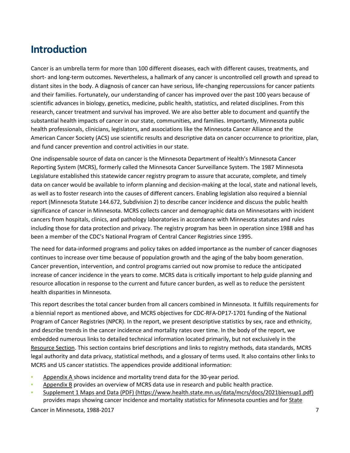# <span id="page-6-0"></span>**Introduction**

Cancer is an umbrella term for more than 100 different diseases, each with different causes, treatments, and short- and long-term outcomes. Nevertheless, a hallmark of any cancer is uncontrolled cell growth and spread to distant sites in the body. A diagnosis of cancer can have serious, life-changing repercussions for cancer patients and their families. Fortunately, our understanding of cancer has improved over the past 100 years because of scientific advances in biology, genetics, medicine, public health, statistics, and related disciplines. From this research, cancer treatment and survival has improved. We are also better able to document and quantify the substantial health impacts of cancer in our state, communities, and families. Importantly, Minnesota public health professionals, clinicians, legislators, and associations like the Minnesota Cancer Alliance and the American Cancer Society (ACS) use scientific results and descriptive data on cancer occurrence to prioritize, plan, and fund cancer prevention and control activities in our state.

One indispensable source of data on cancer is the Minnesota Department of Health's Minnesota Cancer Reporting System (MCRS), formerly called the Minnesota Cancer Surveillance System. The 1987 Minnesota Legislature established this statewide cancer registry program to assure that accurate, complete, and timely data on cancer would be available to inform planning and decision-making at the local, state and national levels, as well as to foster research into the causes of different cancers. Enabling legislation also required a biennial report (Minnesota Statute 144.672, Subdivision 2) to describe cancer incidence and discuss the public health significance of cancer in Minnesota. MCRS collects cancer and demographic data on Minnesotans with incident cancers from hospitals, clinics, and pathology laboratories in accordance with Minnesota statutes and rules including those for data protection and privacy. The registry program has been in operation since 1988 and has been a member of the CDC's National Program of Central Cancer Registries since 1995.

The need for data-informed programs and policy takes on added importance as the number of cancer diagnoses continues to increase over time because of population growth and the aging of the baby boom generation. Cancer prevention, intervention, and control programs carried out now promise to reduce the anticipated increase of cancer incidence in the years to come. MCRS data is critically important to help guide planning and resource allocation in response to the current and future cancer burden, as well as to reduce the persistent health disparities in Minnesota.

This report describes the total cancer burden from all cancers combined in Minnesota. It fulfills requirements for a biennial report as mentioned above, and MCRS objectives for CDC-RFA-DP17-1701 funding of the National Program of Cancer Registries (NPCR). In the report, we present descriptive statistics by sex, race and ethnicity, and describe trends in the cancer incidence and mortality rates over time. In the body of the report, we embedded numerous links to detailed technical information located primarily, but not exclusively in the [Resource Section.](#page-17-1) This section contains brief descriptions and links to registry methods, data standards, MCRS legal authority and data privacy, statistical methods, and a glossary of terms used. It also contains other links to MCRS and US cancer statistics. The appendices provide additional information:

- [Appendix A](#page-22-2) shows incidence and mortality trend data for the 30-year period.
- [Appendix B](#page-23-0) provides an overview of MCRS data use in research and public health practice.
- [Supplement 1 Maps and Data \(PDF\) \(https://www.health.state.mn.us/data/mcrs/docs/2021biensup1.pdf\)](https://www.health.state.mn.us/data/mcrs/docs/2021biensup1.pdf) provides maps showing cancer incidence and mortality statistics for Minnesota counties and for State

Cancer in Minnesota, 1988-2017 **7** and the set of the set of the set of the set of the set of the set of the set of the set of the set of the set of the set of the set of the set of the set of the set of the set of the set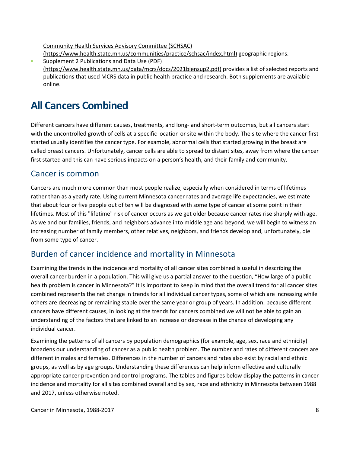[Community Health Services Advisory Committee \(SCHSAC\)](https://www.health.state.mn.us/communities/practice/schsac/index.html) 

[\(https://www.health.state.mn.us/communities/practice/schsac/index.html\)](https://www.health.state.mn.us/communities/practice/schsac/index.html) geographic regions.

Supplement 2 Publications and Data Use (PDF) [\(https://www.health.state.mn.us/data/mcrs/docs/2021biensup2.pdf\)](https://www.health.state.mn.us/data/mcrs/docs/2021biensup2.pdf) provides a list of selected reports and publications that used MCRS data in public health practice and research. Both supplements are available online.

# <span id="page-7-0"></span>**All Cancers Combined**

Different cancers have different causes, treatments, and long- and short-term outcomes, but all cancers start with the uncontrolled growth of cells at a specific location or site within the body. The site where the cancer first started usually identifies the cancer type. For example, abnormal cells that started growing in the breast are called breast cancers. Unfortunately, cancer cells are able to spread to distant sites, away from where the cancer first started and this can have serious impacts on a person's health, and their family and community.

### Cancer is common

Cancers are much more common than most people realize, especially when considered in terms of lifetimes rather than as a yearly rate. Using current Minnesota cancer rates and average life expectancies, we estimate that about four or five people out of ten will be diagnosed with some type of cancer at some point in their lifetimes. Most of this "lifetime" risk of cancer occurs as we get older because cancer rates rise sharply with age. As we and our families, friends, and neighbors advance into middle age and beyond, we will begin to witness an increasing number of family members, other relatives, neighbors, and friends develop and, unfortunately, die from some type of cancer.

### Burden of cancer incidence and mortality in Minnesota

Examining the trends in the incidence and mortality of all cancer sites combined is useful in describing the overall cancer burden in a population. This will give us a partial answer to the question, "How large of a public health problem is cancer in Minnesota?" It is important to keep in mind that the overall trend for all cancer sites combined represents the net change in trends for all individual cancer types, some of which are increasing while others are decreasing or remaining stable over the same year or group of years. In addition, because different cancers have different causes, in looking at the trends for cancers combined we will not be able to gain an understanding of the factors that are linked to an increase or decrease in the chance of developing any individual cancer.

Examining the patterns of all cancers by population demographics (for example, age, sex, race and ethnicity) broadens our understanding of cancer as a public health problem. The number and rates of different cancers are different in males and females. Differences in the number of cancers and rates also exist by racial and ethnic groups, as well as by age groups. Understanding these differences can help inform effective and culturally appropriate cancer prevention and control programs. The tables and figures below display the patterns in cancer incidence and mortality for all sites combined overall and by sex, race and ethnicity in Minnesota between 1988 and 2017, unless otherwise noted.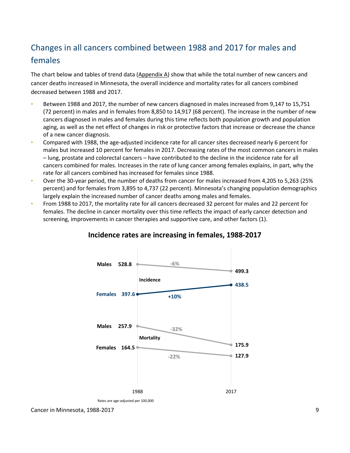# <span id="page-8-0"></span>Changes in all cancers combined between 1988 and 2017 for males and females

The chart below and tables of trend data  $(Appendix A)$  show that while the total number of new cancers and cancer deaths increased in Minnesota, the overall incidence and mortality rates for all cancers combined decreased between 1988 and 2017.

- Between 1988 and 2017, the number of new cancers diagnosed in males increased from 9,147 to 15,751 (72 percent) in males and in females from 8,850 to 14,917 (68 percent). The increase in the number of new cancers diagnosed in males and females during this time reflects both population growth and population aging, as well as the net effect of changes in risk or protective factors that increase or decrease the chance of a new cancer diagnosis.
- Compared with 1988, the age-adjusted incidence rate for all cancer sites decreased nearly 6 percent for males but increased 10 percent for females in 2017. Decreasing rates of the most common cancers in males – lung, prostate and colorectal cancers – have contributed to the decline in the incidence rate for all cancers combined for males. Increases in the rate of lung cancer among females explains, in part, why the rate for all cancers combined has increased for females since 1988.
- Over the 30-year period, the number of deaths from cancer for males increased from 4,205 to 5,263 (25%) percent) and for females from 3,895 to 4,737 (22 percent). Minnesota's changing population demographics largely explain the increased number of cancer deaths among males and females.
- From 1988 to 2017, the mortality rate for all cancers decreased 32 percent for males and 22 percent for females. The decline in cancer mortality over this time reflects the impact of early cancer detection and screening, improvements in cancer therapies and supportive care, and other factors (1).



### **Incidence rates are increasing in females, 1988-2017**

Cancer in Minnesota, 1988-2017 9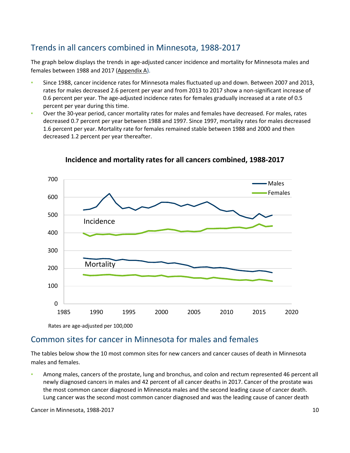### <span id="page-9-0"></span>Trends in all cancers combined in Minnesota, 1988-2017

The graph below displays the trends in age-adjusted cancer incidence and mortality for Minnesota males and females between 1988 and 2017 [\(Appendix A\)](#page-22-2).

- Since 1988, cancer incidence rates for Minnesota males fluctuated up and down. Between 2007 and 2013, rates for males decreased 2.6 percent per year and from 2013 to 2017 show a non-significant increase of 0.6 percent per year. The age-adjusted incidence rates for females gradually increased at a rate of 0.5 percent per year during this time.
- Over the 30-year period, cancer mortality rates for males and females have decreased. For males, rates decreased 0.7 percent per year between 1988 and 1997. Since 1997, mortality rates for males decreased 1.6 percent per year. Mortality rate for females remained stable between 1988 and 2000 and then decreased 1.2 percent per year thereafter.



#### **Incidence and mortality rates for all cancers combined, 1988-2017**

<span id="page-9-1"></span>Common sites for cancer in Minnesota for males and females

The tables below show the 10 most common sites for new cancers and cancer causes of death in Minnesota males and females.

Among males, cancers of the prostate, lung and bronchus, and colon and rectum represented 46 percent all newly diagnosed cancers in males and 42 percent of all cancer deaths in 2017. Cancer of the prostate was the most common cancer diagnosed in Minnesota males and the second leading cause of cancer death. Lung cancer was the second most common cancer diagnosed and was the leading cause of cancer death

Cancer in Minnesota, 1988-2017 10 and the state of the state of the state of the state of the state of the state of the state of the state of the state of the state of the state of the state of the state of the state of th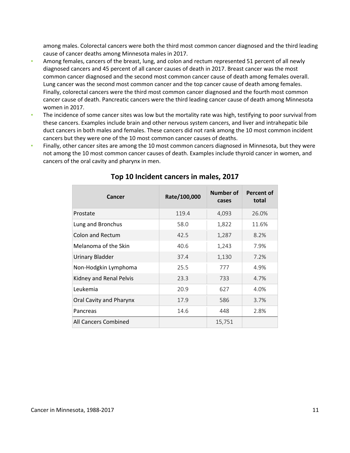among males. Colorectal cancers were both the third most common cancer diagnosed and the third leading cause of cancer deaths among Minnesota males in 2017.

- Among females, cancers of the breast, lung, and colon and rectum represented 51 percent of all newly diagnosed cancers and 45 percent of all cancer causes of death in 2017. Breast cancer was the most common cancer diagnosed and the second most common cancer cause of death among females overall. Lung cancer was the second most common cancer and the top cancer cause of death among females. Finally, colorectal cancers were the third most common cancer diagnosed and the fourth most common cancer cause of death. Pancreatic cancers were the third leading cancer cause of death among Minnesota women in 2017.
- The incidence of some cancer sites was low but the mortality rate was high, testifying to poor survival from these cancers. Examples include brain and other nervous system cancers, and liver and intrahepatic bile duct cancers in both males and females. These cancers did not rank among the 10 most common incident cancers but they were one of the 10 most common cancer causes of deaths.
- Finally, other cancer sites are among the 10 most common cancers diagnosed in Minnesota, but they were not among the 10 most common cancer causes of death. Examples include thyroid cancer in women, and cancers of the oral cavity and pharynx in men.

| Cancer                  | Rate/100,000 | Number of<br>cases | Percent of<br>total |
|-------------------------|--------------|--------------------|---------------------|
| Prostate                | 119.4        | 4,093              | 26.0%               |
| Lung and Bronchus       | 58.0         | 1,822              | 11.6%               |
| <b>Colon and Rectum</b> | 42.5         | 1,287              | 8.2%                |
| Melanoma of the Skin    | 40.6         | 1,243              | 7.9%                |
| <b>Urinary Bladder</b>  | 37.4         | 1,130              | 7.2%                |
| Non-Hodgkin Lymphoma    | 25.5         | 777                | 4.9%                |
| Kidney and Renal Pelvis | 23.3         | 733                | 4.7%                |
| Leukemia                | 20.9         | 627                | 4.0%                |
| Oral Cavity and Pharynx | 17.9         | 586                | 3.7%                |
| Pancreas                | 14.6         | 448                | 2.8%                |
| All Cancers Combined    |              | 15,751             |                     |

#### **Top 10 Incident cancers in males, 2017**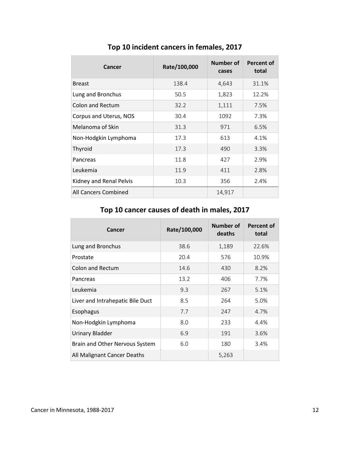| Cancer                  | Rate/100,000 | Number of<br>cases | <b>Percent of</b><br>total |
|-------------------------|--------------|--------------------|----------------------------|
| <b>Breast</b>           | 138.4        | 4,643              | 31.1%                      |
| Lung and Bronchus       | 50.5         | 1,823              | 12.2%                      |
| <b>Colon and Rectum</b> | 32.2         | 1,111              | 7.5%                       |
| Corpus and Uterus, NOS  | 30.4         | 1092               | 7.3%                       |
| Melanoma of Skin        | 31.3         | 971                | 6.5%                       |
| Non-Hodgkin Lymphoma    | 17.3         | 613                | 4.1%                       |
| Thyroid                 | 17.3         | 490                | 3.3%                       |
| Pancreas                | 11.8         | 427                | 2.9%                       |
| Leukemia                | 11.9         | 411                | 2.8%                       |
| Kidney and Renal Pelvis | 10.3         | 356                | 2.4%                       |
| All Cancers Combined    |              | 14,917             |                            |

**Top 10 incident cancers in females, 2017** 

### **Top 10 cancer causes of death in males, 2017**

| Cancer                           | Rate/100,000 | <b>Number of</b><br>deaths | Percent of<br>total |
|----------------------------------|--------------|----------------------------|---------------------|
| Lung and Bronchus                | 38.6         | 1,189                      | 22.6%               |
| Prostate                         | 20.4         | 576                        | 10.9%               |
| <b>Colon and Rectum</b>          | 14.6         | 430                        | 8.2%                |
| Pancreas                         | 13.2         | 406                        | 7.7%                |
| Leukemia                         | 9.3          | 267                        | 5.1%                |
| Liver and Intrahepatic Bile Duct | 8.5          | 264                        | 5.0%                |
| Esophagus                        | 7.7          | 247                        | 4.7%                |
| Non-Hodgkin Lymphoma             | 8.0          | 233                        | 4.4%                |
| <b>Urinary Bladder</b>           | 6.9          | 191                        | 3.6%                |
| Brain and Other Nervous System   | 6.0          | 180                        | 3.4%                |
| All Malignant Cancer Deaths      |              | 5,263                      |                     |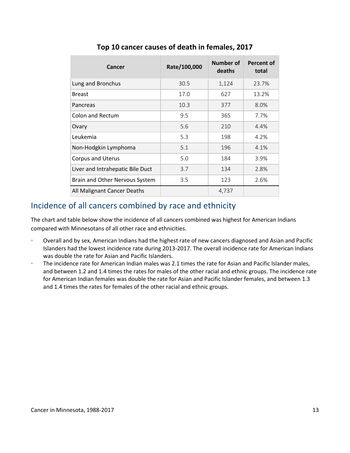| Cancer                           | Rate/100,000 | Number of<br>deaths | <b>Percent of</b><br>total |
|----------------------------------|--------------|---------------------|----------------------------|
| Lung and Bronchus                | 30.5         | 1,124               | 23.7%                      |
| <b>Breast</b>                    | 17.0         | 627                 | 13.2%                      |
| Pancreas                         | 10.3         | 377                 | 8.0%                       |
| <b>Colon and Rectum</b>          | 9.5          | 365                 | 7.7%                       |
| Ovary                            | 5.6          | 210                 | 4.4%                       |
| Leukemia                         | 5.3          | 198                 | 4.2%                       |
| Non-Hodgkin Lymphoma             | 5.1          | 196                 | 4.1%                       |
| <b>Corpus and Uterus</b>         | 5.0          | 184                 | 3.9%                       |
| Liver and Intrahepatic Bile Duct | 3.7          | 134                 | 2.8%                       |
| Brain and Other Nervous System   | 3.5          | 123                 | 2.6%                       |
| All Malignant Cancer Deaths      |              | 4,737               |                            |

### **Top 10 cancer causes of death in females, 2017**

### <span id="page-12-0"></span>Incidence of all cancers combined by race and ethnicity

The chart and table below show the incidence of all cancers combined was highest for American Indians compared with Minnesotans of all other race and ethnicities.

- Overall and by sex, American Indians had the highest rate of new cancers diagnosed and Asian and Pacific Islanders had the lowest incidence rate during 2013-2017. The overall incidence rate for American Indians was double the rate for Asian and Pacific Islanders.
- The incidence rate for American Indian males was 2.1 times the rate for Asian and Pacific Islander males, and between 1.2 and 1.4 times the rates for males of the other racial and ethnic groups. The incidence rate for American Indian females was double the rate for Asian and Pacific Islander females, and between 1.3 and 1.4 times the rates for females of the other racial and ethnic groups.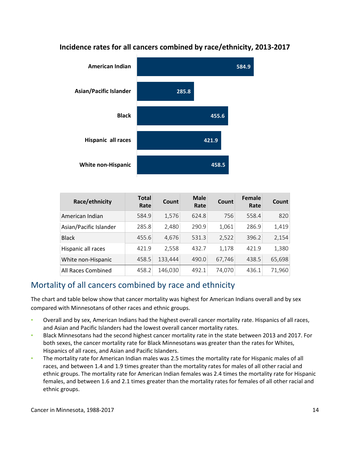

### **Incidence rates for all cancers combined by race/ethnicity, 2013-2017**

| Race/ethnicity         | <b>Total</b><br>Rate | Count   | <b>Male</b><br>Rate | Count  | Female<br>Rate | <b>Count</b> |
|------------------------|----------------------|---------|---------------------|--------|----------------|--------------|
| American Indian        | 584.9                | 1,576   | 624.8               | 756    | 558.4          | 820          |
| Asian/Pacific Islander | 285.8                | 2,480   | 290.9               | 1,061  | 286.9          | 1,419        |
| <b>Black</b>           | 455.6                | 4,676   | 531.3               | 2,522  | 396.2          | 2,154        |
| Hispanic all races     | 421.9                | 2,558   | 432.7               | 1,178  | 421.9          | 1,380        |
| White non-Hispanic     | 458.5                | 133,444 | 490.0               | 67,746 | 438.5          | 65,698       |
| All Races Combined     | 458.2                | 146,030 | 492.1               | 74,070 | 436.1          | 71,960       |

### <span id="page-13-0"></span>Mortality of all cancers combined by race and ethnicity

The chart and table below show that cancer mortality was highest for American Indians overall and by sex compared with Minnesotans of other races and ethnic groups.

- Overall and by sex, American Indians had the highest overall cancer mortality rate. Hispanics of all races, and Asian and Pacific Islanders had the lowest overall cancer mortality rates.
- Black Minnesotans had the second highest cancer mortality rate in the state between 2013 and 2017. For both sexes, the cancer mortality rate for Black Minnesotans was greater than the rates for Whites, Hispanics of all races, and Asian and Pacific Islanders.
- The mortality rate for American Indian males was 2.5 times the mortality rate for Hispanic males of all races, and between 1.4 and 1.9 times greater than the mortality rates for males of all other racial and ethnic groups. The mortality rate for American Indian females was 2.4 times the mortality rate for Hispanic females, and between 1.6 and 2.1 times greater than the mortality rates for females of all other racial and ethnic groups.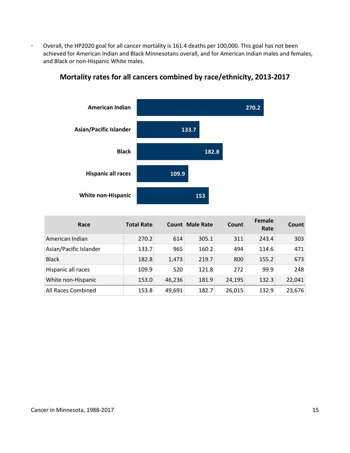▪ Overall, the HP2020 goal for all cancer mortality is 161.4 deaths per 100,000. This goal has not been achieved for American Indian and Black Minnesotans overall, and for American Indian males and females, and Black or non-Hispanic White males.



### **Mortality rates for all cancers combined by race/ethnicity, 2013-2017**

| Race                   | <b>Total Rate</b> | <b>Count</b> | <b>Male Rate</b> | <b>Count</b> | <b>Female</b><br>Rate | <b>Count</b> |
|------------------------|-------------------|--------------|------------------|--------------|-----------------------|--------------|
| American Indian        | 270.2             | 614          | 305.1            | 311          | 243.4                 | 303          |
| Asian/Pacific Islander | 133.7             | 965          | 160.2            | 494          | 114.6                 | 471          |
| <b>Black</b>           | 182.8             | 1,473        | 219.7            | 800          | 155.2                 | 673          |
| Hispanic all races     | 109.9             | 520          | 121.8            | 272          | 99.9                  | 248          |
| White non-Hispanic     | 153.0             | 46,236       | 181.9            | 24,195       | 132.3                 | 22,041       |
| All Races Combined     | 153.8             | 49,691       | 182.7            | 26,015       | 132.9                 | 23,676       |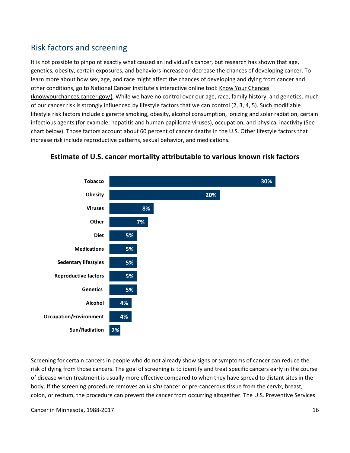### <span id="page-15-0"></span>Risk factors and screening

It is not possible to pinpoint exactly what caused an individual's cancer, but research has shown that age, genetics, obesity, certain exposures, and behaviors increase or decrease the chances of developing cancer. To learn more about how sex, age, and race might affect the chances of developing and dying from cancer and other conditions, go to National Cancer Institute's interactive online tool: Know Your Chances [\(knowyourchances.cancer.gov/\).](https://knowyourchances.cancer.gov/) While we have no control over our age, race, family history, and genetics, much of our cancer risk is strongly influenced by lifestyle factors that we can control (2, 3, 4, 5). Such modifiable lifestyle risk factors include cigarette smoking, obesity, alcohol consumption, ionizing and solar radiation, certain infectious agents (for example, hepatitis and human papilloma viruses), occupation, and physical inactivity (See chart below). Those factors account about 60 percent of cancer deaths in the U.S. Other lifestyle factors that increase risk include reproductive patterns, sexual behavior, and medications.



### **Estimate of U.S. cancer mortality attributable to various known risk factors**

Screening for certain cancers in people who do not already show signs or symptoms of cancer can reduce the risk of dying from those cancers. The goal of screening is to identify and treat specific cancers early in the course of disease when treatment is usually more effective compared to when they have spread to distant sites in the body. If the screening procedure removes an *in situ* cancer or pre-cancerous tissue from the cervix, breast, colon, or rectum, the procedure can prevent the cancer from occurring altogether. The U.S. Preventive Services

Cancer in Minnesota, 1988-2017 16 and the state of the state of the state of the state of the state of the state of the state of the state of the state of the state of the state of the state of the state of the state of th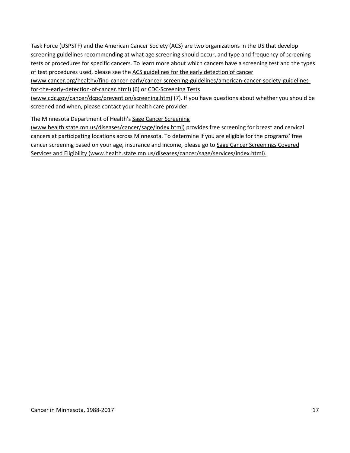Task Force (USPSTF) and the American Cancer Society (ACS) are two organizations in the US that develop screening guidelines recommending at what age screening should occur, and type and frequency of screening tests or procedures for specific cancers. To learn more about which cancers have a screening test and the types of test procedures used, please see the ACS guidelines for the early detection of cancer

[\(www.cancer.org/healthy/find-cancer-early/cancer-screening-guidelines/american-cancer-society-guidelines](https://www.cancer.org/healthy/find-cancer-early/american-cancer-society-guidelines-for-the-early-detection-of-cancer.html)[for-the-early-detection-of-cancer.html\)](https://www.cancer.org/healthy/find-cancer-early/american-cancer-society-guidelines-for-the-early-detection-of-cancer.html) (6) o[r CDC-Screening Tests](https://www.cdc.gov/cancer/dcpc/prevention/screening.htm) 

[\(www.cdc.gov/cancer/dcpc/prevention/screening.htm\)](https://www.cdc.gov/cancer/dcpc/prevention/screening.htm) (7). If you have questions about whether you should be screened and when, please contact your health care provider.

The Minnesota Department of Health'[s Sage Cancer Screening](https://www.health.state.mn.us/diseases/cancer/sage/screening/index.html) 

[\(www.health.state.mn.us/diseases/cancer/sage/index.html\)](https://www.health.state.mn.us/diseases/cancer/sage/screening/index.html) provides free screening for breast and cervical cancers at participating locations across Minnesota. To determine if you are eligible for the programs' free cancer screening based on your age, insurance and income, please go to [Sage Cancer Screenings Covered](https://www.health.state.mn.us/diseases/cancer/sage/services/index.html)  [Services and Eligibility \(www.health.state.mn.us/diseases/cancer/sage/services/index.html\).](https://www.health.state.mn.us/diseases/cancer/sage/services/index.html)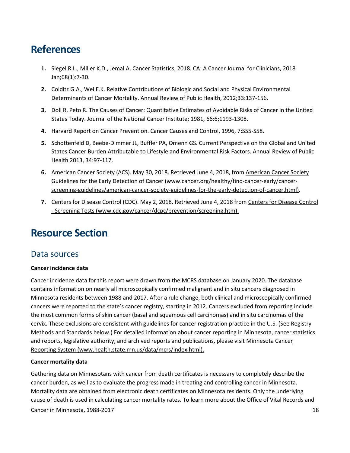# <span id="page-17-0"></span>**References**

- **1.** Siegel R.L., Miller K.D., Jemal A. Cancer Statistics, 2018. CA: A Cancer Journal for Clinicians, 2018 Jan;68(1):7-30.
- **2.** Colditz G.A., Wei E.K. Relative Contributions of Biologic and Social and Physical Environmental Determinants of Cancer Mortality. Annual Review of Public Health, 2012;33:137-156.
- **3.** Doll R, Peto R. The Causes of Cancer: Quantitative Estimates of Avoidable Risks of Cancer in the United States Today. Journal of the National Cancer Institute; 1981, 66:6;1193-1308.
- **4.** Harvard Report on Cancer Prevention. Cancer Causes and Control, 1996, 7:S55-S58.
- **5.** Schottenfeld D, Beebe-Dimmer JL, Buffler PA, Omenn GS. Current Perspective on the Global and United States Cancer Burden Attributable to Lifestyle and Environmental Risk Factors. Annual Review of Public Health 2013, 34:97-117.
- **6.** American Cancer Society (ACS). May 30, 2018. Retrieved June 4, 2018, from [American Cancer Society](https://www.cancer.org/healthy/find-cancer-early/cancer-screening-guidelines/american-cancer-society-guidelines-for-the-early-detection-of-cancer.html)  [Guidelines for the Early Detection of Cancer \(www.cancer.org/healthy/find-cancer-early/cancer](https://www.cancer.org/healthy/find-cancer-early/cancer-screening-guidelines/american-cancer-society-guidelines-for-the-early-detection-of-cancer.html)[screening-guidelines/american-cancer-society-guidelines-for-the-early-detection-of-cancer.html\).](https://www.cancer.org/healthy/find-cancer-early/cancer-screening-guidelines/american-cancer-society-guidelines-for-the-early-detection-of-cancer.html)
- **7.** Centers for Disease Control (CDC). May 2, 2018. Retrieved June 4, 2018 from [Centers for Disease Control](https://www.cdc.gov/cancer/dcpc/prevention/screening.htm)  [- Screening Tests \(www.cdc.gov/cancer/dcpc/prevention/screening.htm\).](https://www.cdc.gov/cancer/dcpc/prevention/screening.htm)

# <span id="page-17-1"></span>**Resource Section**

### <span id="page-17-2"></span>Data sources

#### **Cancer incidence data**

Cancer incidence data for this report were drawn from the MCRS database on January 2020. The database contains information on nearly all microscopically confirmed malignant and in situ cancers diagnosed in Minnesota residents between 1988 and 2017. After a rule change, both clinical and microscopically confirmed cancers were reported to the state's cancer registry, starting in 2012. Cancers excluded from reporting include the most common forms of skin cancer (basal and squamous cell carcinomas) and in situ carcinomas of the cervix. These exclusions are consistent with guidelines for cancer registration practice in the U.S. (See Registry Methods and Standards below.) For detailed information about cancer reporting in Minnesota, cancer statistics and reports, legislative authority, and archived reports and publications, please visit [Minnesota Cancer](https://www.health.state.mn.us/data/mcrs/index.html)  [Reporting System \(www.health.state.mn.us/data/mcrs/index.html\).](https://www.health.state.mn.us/data/mcrs/index.html)

#### **Cancer mortality data**

Cancer in Minnesota, 1988-2017 18 and the control of the control of the control of the control of the control of the control of the control of the control of the control of the control of the control of the control of the Gathering data on Minnesotans with cancer from death certificates is necessary to completely describe the cancer burden, as well as to evaluate the progress made in treating and controlling cancer in Minnesota. Mortality data are obtained from electronic death certificates on Minnesota residents. Only the underlying cause of death is used in calculating cancer mortality rates. To learn more about the Office of Vital Records and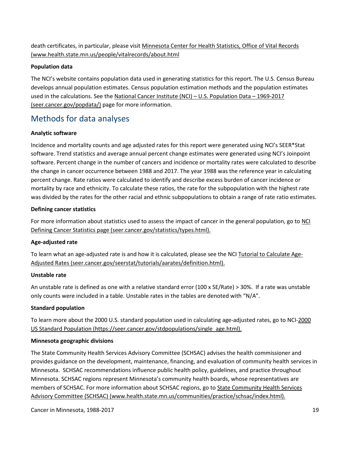death certificates, in particular, please visit [Minnesota Center for Health Statistics, Office of Vital Records](https://www.health.state.mn.us/people/vitalrecords/about.html)  [\(www.health.state.mn.us/people/vitalrecords/about.html](https://www.health.state.mn.us/people/vitalrecords/about.html)

#### **Population data**

The NCI's website contains population data used in generating statistics for this report. The U.S. Census Bureau develops annual population estimates. Census population estimation methods and the population estimates used in the calculations. See the [National Cancer Institute \(NCI\) – U.S. Population Data – 1969-2017](https://seer.cancer.gov/popdata/)  [\(seer.cancer.gov/popdata/\)](https://seer.cancer.gov/popdata/) page for more information.

### <span id="page-18-0"></span>Methods for data analyses

#### **Analytic software**

Incidence and mortality counts and age adjusted rates for this report were generated using NCI's SEER\*Stat software. Trend statistics and average annual percent change estimates were generated using NCI's Joinpoint software. Percent change in the number of cancers and incidence or mortality rates were calculated to describe the change in cancer occurrence between 1988 and 2017. The year 1988 was the reference year in calculating percent change. Rate ratios were calculated to identify and describe excess burden of cancer incidence or mortality by race and ethnicity. To calculate these ratios, the rate for the subpopulation with the highest rate was divided by the rates for the other racial and ethnic subpopulations to obtain a range of rate ratio estimates.

#### **Defining cancer statistics**

For more information about statistics used to assess the impact of cancer in the general population, go to [NCI](https://seer.cancer.gov/statistics/types.html)  [Defining Cancer Statistics page \(seer.cancer.gov/statistics/types.html\).](https://seer.cancer.gov/statistics/types.html)

#### **Age-adjusted rate**

To learn what an age-adjusted rate is and how it is calculated, please see the NCI [Tutorial to Calculate Age-](https://seer.cancer.gov/seerstat/tutorials/aarates/definition.html)[Adjusted Rates \(seer.cancer.gov/seerstat/tutorials/aarates/definition.html\).](https://seer.cancer.gov/seerstat/tutorials/aarates/definition.html)

#### **Unstable rate**

An unstable rate is defined as one with a relative standard error (100 x SE/Rate) > 30%. If a rate was unstable only counts were included in a table. Unstable rates in the tables are denoted with "N/A".

#### **Standard population**

To learn more about the 2000 U.S. standard population used in calculating age-adjusted rates, go to NCI-2000 [US Standard Population \(https://seer.cancer.gov/stdpopulations/single\\_age.html\).](https://seer.cancer.gov/stdpopulations/single_age.html)

#### **Minnesota geographic divisions**

The State Community Health Services Advisory Committee (SCHSAC) advises the health commissioner and provides guidance on the development, maintenance, financing, and evaluation of community health services in Minnesota. SCHSAC recommendations influence public health policy, guidelines, and practice throughout Minnesota. SCHSAC regions represent Minnesota's community health boards, whose representatives are members of SCHSAC. For more information about SCHSAC regions, go to [State Community Health Services](https://www.health.state.mn.us/communities/practice/schsac/index.html)  [Advisory Committee \(SCHSAC\) \(www.health.state.mn.us/communities/practice/schsac/index.html\).](https://www.health.state.mn.us/communities/practice/schsac/index.html)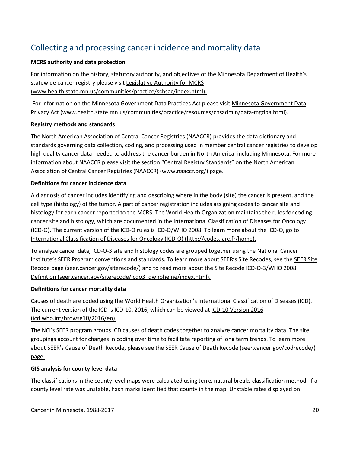## <span id="page-19-0"></span>Collecting and processing cancer incidence and mortality data

#### **MCRS authority and data protection**

For information on the history, statutory authority, and objectives of the Minnesota Department of Health's statewide cancer registry please visit [Legislative Authority for MCRS](https://www.health.state.mn.us/data/mcrs/authority.html)  [\(www.health.state.mn.us/communities/practice/schsac/index.html\).](https://www.health.state.mn.us/data/mcrs/authority.html)

For information on the Minnesota Government Data Practices Act please visit [Minnesota Government Data](https://www.health.state.mn.us/communities/practice/resources/chsadmin/data-mgdpa.html)  Privacy Act [\(www.health.state.mn.us/communities/practice/resources/chsadmin/data-mgdpa.html\).](https://www.health.state.mn.us/communities/practice/resources/chsadmin/data-mgdpa.html)

#### **Registry methods and standards**

The North American Association of Central Cancer Registries (NAACCR) provides the data dictionary and standards governing data collection, coding, and processing used in member central cancer registries to develop high quality cancer data needed to address the cancer burden in North America, including Minnesota. For more information about NAACCR please visit the section "Central Registry Standards" on th[e North American](https://www.naaccr.org/)  [Association of Central Cancer Registries \(NAACCR\) \(www.naaccr.org/\)](https://www.naaccr.org/) page.

#### **Definitions for cancer incidence data**

A diagnosis of cancer includes identifying and describing where in the body (site) the cancer is present, and the cell type (histology) of the tumor. A part of cancer registration includes assigning codes to cancer site and histology for each cancer reported to the MCRS. The World Health Organization maintains the rules for coding cancer site and histology, which are documented in the International Classification of Diseases for Oncology (ICD-O). The current version of the ICD-O rules is ICD-O/WHO 2008. To learn more about the ICD-O, go to International Classification [of Diseases for Oncology \(ICD-O\) \(http://codes.iarc.fr/home\).](http://www.iacr.com.fr/index.php?option=com_content&view=category&layout=blog&id=100&Itemid=577)

To analyze cancer data, ICD-O-3 site and histology codes are grouped together using the National Cancer Institute's SEER Program conventions and standards. To learn more about SEER's Site Recodes, see the [SEER Site](https://seer.cancer.gov/siterecode/)  [Recode page \(seer.cancer.gov/siterecode/\)](https://seer.cancer.gov/siterecode/) and to read more about th[e Site Recode ICD-O-3/WHO 2008](https://seer.cancer.gov/siterecode/icdo3_dwhoheme/index.html)  [Definition \(seer.cancer.gov/siterecode/icdo3\\_dwhoheme/index.html\).](https://seer.cancer.gov/siterecode/icdo3_dwhoheme/index.html)

#### **Definitions for cancer mortality data**

Causes of death are coded using the World Health Organization's International Classification of Diseases (ICD). The current version of the ICD is ICD-10, 2016, which can be viewed at [ICD-10 Version 2016](http://apps.who.int/classifications/icd10/browse/2016/en)  [\(icd.who.int/browse10/2016/en\).](http://apps.who.int/classifications/icd10/browse/2016/en)

The NCI's SEER program groups ICD causes of death codes together to analyze cancer mortality data. The site groupings account for changes in coding over time to facilitate reporting of long term trends. To learn more about SEER's Cause of Death Recode, please see the [SEER Cause of Death Recode \(seer.cancer.gov/codrecode/\)](https://seer.cancer.gov/codrecode/) page.

#### **GIS analysis for county level data**

The classifications in the county level maps were calculated using Jenks natural breaks classification method. If a county level rate was unstable, hash marks identified that county in the map. Unstable rates displayed on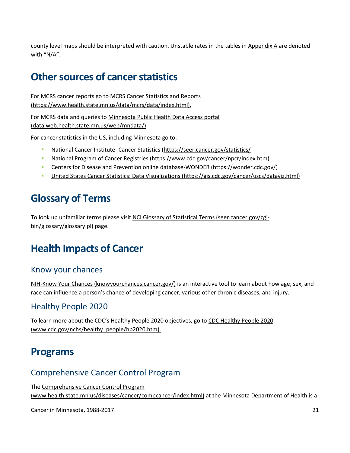county level maps should be interpreted with caution. Unstable rates in the tables in [Appendix A](#page-22-2) are denoted with "N/A".

# <span id="page-20-0"></span>**Other sources of cancer statistics**

For MCRS cancer reports go t[o MCRS Cancer Statistics and Reports](https://www.health.state.mn.us/data/mcrs/data/index.html)  [\(https://www.health.state.mn.us/data/mcrs/data/index.html\).](https://www.health.state.mn.us/data/mcrs/data/index.html) 

For MCRS data and queries to [Minnesota Public Health Data Access portal](https://data.web.health.state.mn.us/web/mndata/)  [\(data.web.health.state.mn.us/web/mndata/\).](https://data.web.health.state.mn.us/web/mndata/)

For cancer statistics in the US, including Minnesota go to:

- National Cancer Institute -Cancer Statistics (https://seer.cancer.gov/statistics/
- [National Program of Cancer Registries \(https://www.cdc.gov/cancer/npcr/index.htm\)](https://www.cdc.gov/cancer/npcr/index.htm)
- [Centers for Disease and Prevention online database-WONDER \(https://wonder.cdc.gov/\)](https://wonder.cdc.gov/)
- [United States Cancer Statistics: Data Visualizations \(https://gis.cdc.gov/cancer/uscs/dataviz.html\)](https://gis.cdc.gov/Cancer/USCS/DataViz.html)

# <span id="page-20-1"></span>**Glossary of Terms**

To look up unfamiliar terms please visit NCI Glossary of Statistical [Terms \(seer.cancer.gov/cgi](https://seer.cancer.gov/cgi-bin/glossary/glossary.pl)[bin/glossary/glossary.pl\)](https://seer.cancer.gov/cgi-bin/glossary/glossary.pl) page.

# <span id="page-20-2"></span>**Health Impacts of Cancer**

### <span id="page-20-3"></span>Know your chances

[NIH-Know Your Chances \(knowyourchances.cancer.gov/\)](https://knowyourchances.cancer.gov/) is an interactive tool to learn about how age, sex, and race can influence a person's chance of developing cancer, various other chronic diseases, and injury.

### <span id="page-20-4"></span>Healthy People 2020

To learn more about the CDC's Healthy People 2020 objectives, go to [CDC Healthy People 2020](https://www.cdc.gov/nchs/healthy_people/hp2020.htm)  [\(www.cdc.gov/nchs/healthy\\_people/hp2020.htm\).](https://www.cdc.gov/nchs/healthy_people/hp2020.htm)

# <span id="page-20-5"></span>**Programs**

### <span id="page-20-6"></span>Comprehensive Cancer Control Program

The [Comprehensive Cancer Control Program](https://www.health.state.mn.us/diseases/cancer/compcancer/index.html)  [\(www.health.state.mn.us/diseases/cancer/compcancer/index.html\)](https://www.health.state.mn.us/diseases/cancer/compcancer/index.html) at the Minnesota Department of Health is a

Cancer in Minnesota, 1988-2017 21 22 20 20 20 20 21 21 22 21 22 21 22 21 22 21 22 21 22 21 22 21 22 21 22 21 22 21 22 21 22 21 22 21 22 21 22 21 22 21 22 21 22 21 22 21 22 21 22 21 22 21 22 21 22 21 22 21 22 21 22 21 22 21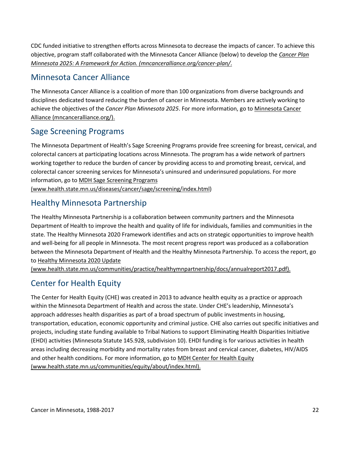CDC funded initiative to strengthen efforts across Minnesota to decrease the impacts of cancer. To achieve this objective, program staff collaborated with the Minnesota Cancer Alliance (below) to develop the *[Cancer Plan](https://mncanceralliance.org/cancer-plan/)  [Minnesota 2025: A Framework for Action. \(mncanceralliance.org/cancer-plan/](https://mncanceralliance.org/cancer-plan/)*.

### <span id="page-21-0"></span>Minnesota Cancer Alliance

The Minnesota Cancer Alliance is a coalition of more than 100 organizations from diverse backgrounds and disciplines dedicated toward reducing the burden of cancer in Minnesota. Members are actively working to achieve the objectives of the *Cancer Plan Minnesota 2025*. For more information, go to [Minnesota Cancer](https://mncanceralliance.org/)  [Alliance \(mncanceralliance.org/\).](https://mncanceralliance.org/)

### <span id="page-21-1"></span>Sage Screening Programs

The Minnesota Department of Health's Sage Screening Programs provide free screening for breast, cervical, and colorectal cancers at participating locations across Minnesota. The program has a wide network of partners working together to reduce the burden of cancer by providing access to and promoting breast, cervical, and colorectal cancer screening services for Minnesota's uninsured and underinsured populations. For more information, go to [MDH Sage Screening Programs](https://www.health.state.mn.us/diseases/cancer/sage/screening/index.html)  [\(www.health.state.mn.us/diseases/cancer/sage/screening/index.html\)](https://www.health.state.mn.us/diseases/cancer/sage/screening/index.html)

### <span id="page-21-2"></span>Healthy Minnesota Partnership

The Healthy Minnesota Partnership is a collaboration between community partners and the Minnesota Department of Health to improve the health and quality of life for individuals, families and communities in the state. The Healthy Minnesota 2020 Framework identifies and acts on strategic opportunities to improve health and well-being for all people in Minnesota. The most recent progress report was produced as a collaboration between the Minnesota Department of Health and the Healthy Minnesota Partnership. To access the report, go to [Healthy Minnesota 2020 Update](https://www.health.state.mn.us/communities/practice/healthymnpartnership/docs/annualreport2017.pdf) 

[\(www.health.state.mn.us/communities/practice/healthymnpartnership/docs/annualreport2017.pdf\).](https://www.health.state.mn.us/communities/practice/healthymnpartnership/docs/annualreport2017.pdf)

### <span id="page-21-3"></span>Center for Health Equity

The Center for Health Equity (CHE) was created in 2013 to advance health equity as a practice or approach within the Minnesota Department of Health and across the state. Under CHE's leadership, Minnesota's approach addresses health disparities as part of a broad spectrum of public investments in housing, transportation, education, economic opportunity and criminal justice. CHE also carries out specific initiatives and projects, including state funding available to Tribal Nations to support Eliminating Health Disparities Initiative (EHDI) activities (Minnesota Statute 145.928, subdivision 10). EHDI funding is for various activities in health areas including decreasing morbidity and mortality rates from breast and cervical cancer, diabetes, HIV/AIDS and other health conditions. For more information, go to [MDH Center for Health Equity](https://www.health.state.mn.us/communities/equity/about/index.html)  [\(www.health.state.mn.us/communities/equity/about/index.html\).](https://www.health.state.mn.us/communities/equity/about/index.html)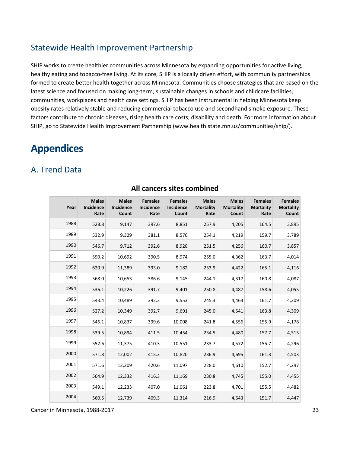### <span id="page-22-0"></span>Statewide Health Improvement Partnership

SHIP works to create healthier communities across Minnesota by expanding opportunities for active living, healthy eating and tobacco-free living. At its core, SHIP is a locally driven effort, with community partnerships formed to create better health together across Minnesota. Communities choose strategies that are based on the latest science and focused on making long-term, sustainable changes in schools and childcare facilities, communities, workplaces and health care settings. SHIP has been instrumental in helping Minnesota keep obesity rates relatively stable and reducing commercial tobacco use and secondhand smoke exposure. These factors contribute to chronic diseases, rising health care costs, disability and death. For more information about SHIP, go to [Statewide Health Improvement Partnership \(www.health.state.mn.us/communities/ship/\)](https://www.health.state.mn.us/communities/ship/).

# <span id="page-22-1"></span>**Appendices**

### <span id="page-22-2"></span>A. Trend Data

| Year | <b>Males</b><br>Incidence<br>Rate | <b>Males</b><br><b>Incidence</b><br>Count | <b>Females</b><br><b>Incidence</b><br>Rate | <b>Females</b><br>Incidence<br>Count | <b>Males</b><br><b>Mortality</b><br>Rate | <b>Males</b><br><b>Mortality</b><br>Count | <b>Females</b><br><b>Mortality</b><br>Rate | <b>Females</b><br><b>Mortality</b><br>Count |
|------|-----------------------------------|-------------------------------------------|--------------------------------------------|--------------------------------------|------------------------------------------|-------------------------------------------|--------------------------------------------|---------------------------------------------|
| 1988 | 528.8                             | 9,147                                     | 397.6                                      | 8,851                                | 257.9                                    | 4,205                                     | 164.5                                      | 3,895                                       |
| 1989 | 532.9                             | 9,329                                     | 381.1                                      | 8,576                                | 254.1                                    | 4,219                                     | 159.7                                      | 3,789                                       |
| 1990 | 546.7                             | 9,712                                     | 392.6                                      | 8,920                                | 251.5                                    | 4,256                                     | 160.7                                      | 3,857                                       |
| 1991 | 590.2                             | 10,692                                    | 390.5                                      | 8,974                                | 255.0                                    | 4,362                                     | 163.7                                      | 4,014                                       |
| 1992 | 620.9                             | 11,389                                    | 393.0                                      | 9,182                                | 253.9                                    | 4,422                                     | 165.1                                      | 4,116                                       |
| 1993 | 568.0                             | 10,653                                    | 386.6                                      | 9,145                                | 244.1                                    | 4,317                                     | 160.8                                      | 4,087                                       |
| 1994 | 536.1                             | 10,226                                    | 391.7                                      | 9,401                                | 250.8                                    | 4,487                                     | 158.6                                      | 4,055                                       |
| 1995 | 543.4                             | 10,489                                    | 392.3                                      | 9,553                                | 245.3                                    | 4,463                                     | 161.7                                      | 4,209                                       |
| 1996 | 527.2                             | 10,349                                    | 392.7                                      | 9,691                                | 245.0                                    | 4,541                                     | 163.8                                      | 4,309                                       |
| 1997 | 546.1                             | 10,837                                    | 399.6                                      | 10,008                               | 241.8                                    | 4,556                                     | 155.9                                      | 4,178                                       |
| 1998 | 539.5                             | 10,894                                    | 411.5                                      | 10,454                               | 234.5                                    | 4,480                                     | 157.7                                      | 4,313                                       |
| 1999 | 552.6                             | 11,375                                    | 410.3                                      | 10,551                               | 233.7                                    | 4,572                                     | 155.7                                      | 4,296                                       |
| 2000 | 571.8                             | 12,002                                    | 415.3                                      | 10,820                               | 236.9                                    | 4,695                                     | 161.3                                      | 4,503                                       |
| 2001 | 571.6                             | 12,209                                    | 420.6                                      | 11,097                               | 228.0                                    | 4,610                                     | 152.7                                      | 4,297                                       |
| 2002 | 564.9                             | 12,332                                    | 416.3                                      | 11,169                               | 230.8                                    | 4,745                                     | 155.0                                      | 4,455                                       |
| 2003 | 549.1                             | 12,233                                    | 407.0                                      | 11,061                               | 223.8                                    | 4,701                                     | 155.5                                      | 4,482                                       |
| 2004 | 560.5                             | 12,739                                    | 409.3                                      | 11,314                               | 216.9                                    | 4,643                                     | 151.7                                      | 4,447                                       |

### **All cancers sites combined**

Cancer in Minnesota, 1988-2017 23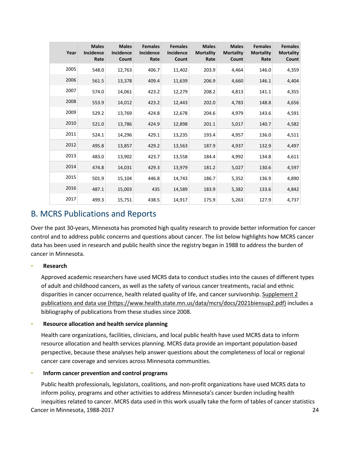| Year | <b>Males</b><br><b>Incidence</b><br>Rate | <b>Males</b><br><b>Incidence</b><br>Count | <b>Females</b><br><b>Incidence</b><br>Rate | <b>Females</b><br><b>Incidence</b><br>Count | <b>Males</b><br><b>Mortality</b><br>Rate | <b>Males</b><br><b>Mortality</b><br>Count | <b>Females</b><br><b>Mortality</b><br>Rate | <b>Females</b><br><b>Mortality</b><br>Count |
|------|------------------------------------------|-------------------------------------------|--------------------------------------------|---------------------------------------------|------------------------------------------|-------------------------------------------|--------------------------------------------|---------------------------------------------|
| 2005 | 548.0                                    | 12,763                                    | 406.7                                      | 11,402                                      | 203.9                                    | 4,464                                     | 146.0                                      | 4,359                                       |
| 2006 | 561.5                                    | 13,378                                    | 409.4                                      | 11,639                                      | 206.9                                    | 4,660                                     | 146.1                                      | 4,404                                       |
| 2007 | 574.0                                    | 14,061                                    | 423.2                                      | 12,279                                      | 208.2                                    | 4,813                                     | 141.1                                      | 4,355                                       |
| 2008 | 553.9                                    | 14,012                                    | 423.2                                      | 12,443                                      | 202.0                                    | 4,783                                     | 148.8                                      | 4,656                                       |
| 2009 | 529.2                                    | 13,769                                    | 424.8                                      | 12,678                                      | 204.6                                    | 4,979                                     | 143.6                                      | 4,591                                       |
| 2010 | 521.0                                    | 13,786                                    | 424.9                                      | 12,898                                      | 201.1                                    | 5,017                                     | 140.7                                      | 4,582                                       |
| 2011 | 524.1                                    | 14,296                                    | 429.1                                      | 13,235                                      | 193.4                                    | 4,957                                     | 136.0                                      | 4,511                                       |
| 2012 | 495.8                                    | 13,857                                    | 429.2                                      | 13,563                                      | 187.9                                    | 4,937                                     | 132.9                                      | 4,497                                       |
| 2013 | 483.0                                    | 13,902                                    | 423.7                                      | 13,558                                      | 184.4                                    | 4,992                                     | 134.8                                      | 4,611                                       |
| 2014 | 474.8                                    | 14,031                                    | 429.3                                      | 13,979                                      | 181.2                                    | 5,027                                     | 130.6                                      | 4,597                                       |
| 2015 | 501.9                                    | 15,104                                    | 446.8                                      | 14,743                                      | 186.7                                    | 5,352                                     | 136.9                                      | 4,890                                       |
| 2016 | 487.1                                    | 15,003                                    | 435                                        | 14,589                                      | 183.9                                    | 5,382                                     | 133.6                                      | 4,842                                       |
| 2017 | 499.3                                    | 15,751                                    | 438.5                                      | 14,917                                      | 175.9                                    | 5,263                                     | 127.9                                      | 4,737                                       |

### <span id="page-23-0"></span>B. MCRS Publications and Reports

Over the past 30-years, Minnesota has promoted high quality research to provide better information for cancer control and to address public concerns and questions about cancer. The list below highlights how MCRS cancer data has been used in research and public health since the registry began in 1988 to address the burden of cancer in Minnesota.

#### ▪ **Research**

Approved academic researchers have used MCRS data to conduct studies into the causes of different types of adult and childhood cancers, as well as the safety of various cancer treatments, racial and ethnic disparities in cancer occurrence, health related quality of life, and cancer survivorship. [Supplement 2](https://www.health.state.mn.us/data/mcrs/docs/2021biensup2.pdf)  [publications and data use \(https://www.health.state.mn.us/data/mcrs/docs/2021biensup2.pdf\)](https://www.health.state.mn.us/data/mcrs/docs/2021biensup2.pdf) includes a bibliography of publications from these studies since 2008.

#### **Resource allocation and health service planning**

Health care organizations, facilities, clinicians, and local public health have used MCRS data to inform resource allocation and health services planning. MCRS data provide an important population-based perspective, because these analyses help answer questions about the completeness of local or regional cancer care coverage and services across Minnesota communities.

#### **Inform cancer prevention and control programs**

Cancer in Minnesota, 1988-2017 24 Public health professionals, legislators, coalitions, and non-profit organizations have used MCRS data to inform policy, programs and other activities to address Minnesota's cancer burden including health inequities related to cancer. MCRS data used in this work usually take the form of tables of cancer statistics